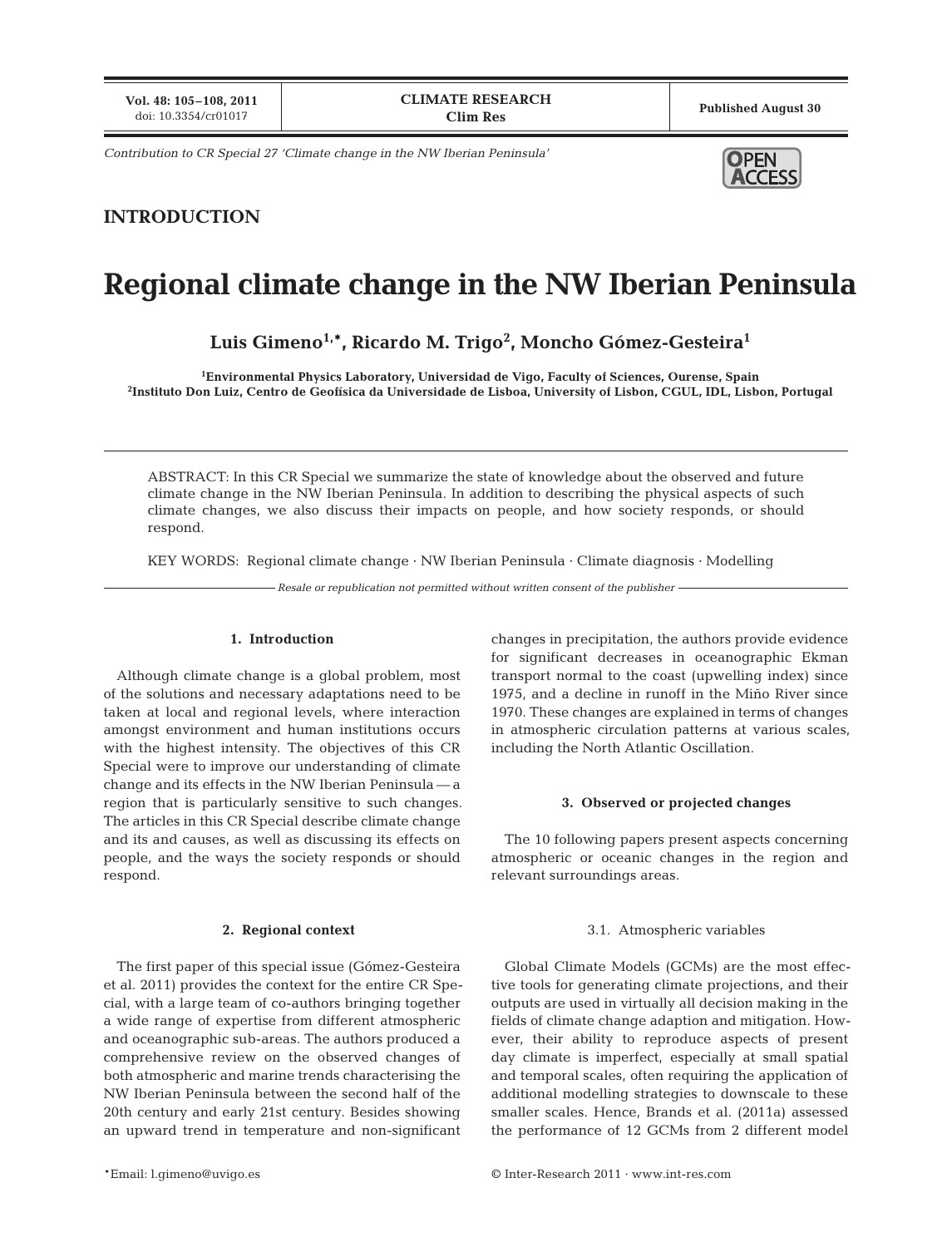**Vol. 48: 105–108, 2011**

*Contribution to CR Special 27 'Climate change in the NW Iberian Peninsula'*

# DPEN

### **INTRODUCTION**

## **Regional climate change in the NW Iberian Peninsula**

**Luis Gimeno1,\*, Ricardo M. Trigo2 , Moncho Gómez-Gesteira1**

**1 Environmental Physics Laboratory, Universidad de Vigo, Faculty of Sciences, Ourense, Spain 2 Instituto Don Luiz, Centro de Geofísica da Universidade de Lisboa, University of Lisbon, CGUL, IDL, Lisbon, Portugal**

ABSTRACT: In this CR Special we summarize the state of knowledge about the observed and future climate change in the NW Iberian Peninsula. In addition to describing the physical aspects of such climate changes, we also discuss their impacts on people, and how society responds, or should respond.

KEY WORDS: Regional climate change · NW Iberian Peninsula · Climate diagnosis · Modelling

*Resale or republication not permitted without written consent of the publisher*

#### **1. Introduction**

Although climate change is a global problem, most of the solutions and necessary adaptations need to be taken at local and regional levels, where interaction amongst environment and human institutions occurs with the highest intensity. The objectives of this CR Special were to improve our understanding of climate change and its effects in the NW Iberian Peninsula — a region that is particularly sensitive to such changes. The articles in this CR Special describe climate change and its and causes, as well as discussing its effects on people, and the ways the society responds or should respond.

#### **2. Regional context**

The first paper of this special issue (Gómez-Gesteira et al. 2011) provides the context for the entire CR Special, with a large team of co-authors bringing together a wide range of expertise from different atmospheric and oceanographic sub-areas. The authors produced a comprehensive review on the observed changes of both atmospheric and marine trends characterising the NW Iberian Peninsula between the second half of the 20th century and early 21st century. Besides showing an upward trend in temperature and non-significant

changes in precipitation, the authors provide evidence for significant decreases in oceanographic Ekman transport normal to the coast (upwelling index) since 1975, and a decline in runoff in the Miño River since 1970. These changes are explained in terms of changes in atmospheric circulation patterns at various scales, including the North Atlantic Oscillation.

#### **3. Observed or projected changes**

The 10 following papers present aspects concerning atmospheric or oceanic changes in the region and relevant surroundings areas.

#### 3.1. Atmospheric variables

Global Climate Models (GCMs) are the most effective tools for generating climate projections, and their outputs are used in virtually all decision making in the fields of climate change adaption and mitigation. However, their ability to reproduce aspects of present day climate is imperfect, especially at small spatial and temporal scales, often requiring the application of additional modelling strategies to downscale to these smaller scales. Hence, Brands et al. (2011a) assessed the performance of 12 GCMs from 2 different model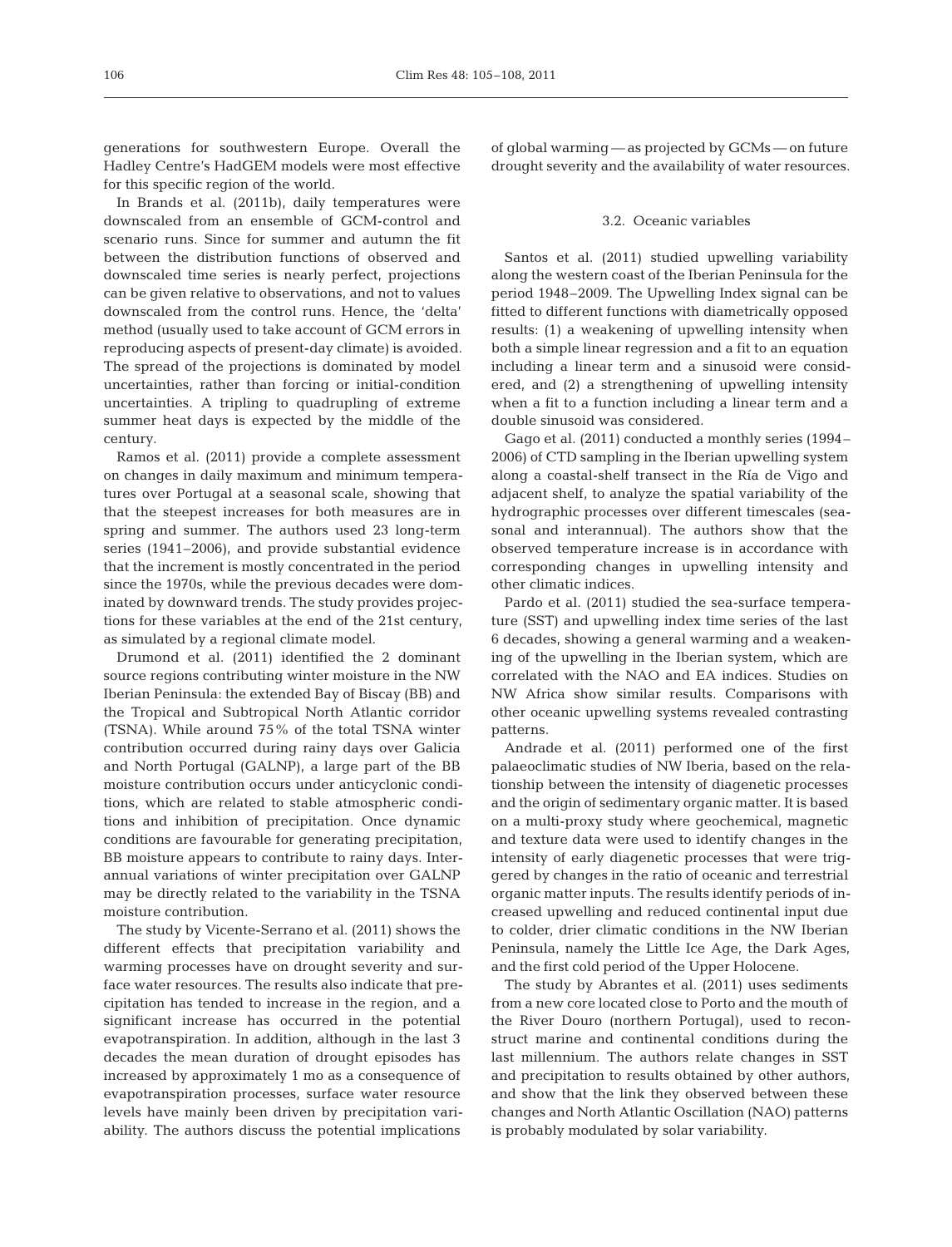generations for southwestern Europe. Overall the Hadley Centre's HadGEM models were most effective for this specific region of the world.

In Brands et al. (2011b), daily temperatures were downscaled from an ensemble of GCM-control and scenario runs. Since for summer and autumn the fit between the distribution functions of observed and downscaled time series is nearly perfect, projections can be given relative to observations, and not to values downscaled from the control runs. Hence, the 'delta' method (usually used to take account of GCM errors in reproducing aspects of present-day climate) is avoided. The spread of the projections is dominated by model un certainties, rather than forcing or initial-condition un certainties. A tripling to quadrupling of extreme summer heat days is expected by the middle of the century.

Ramos et al. (2011) provide a complete assessment on changes in daily maximum and minimum temperatures over Portugal at a seasonal scale, showing that that the steepest increases for both measures are in spring and summer. The authors used 23 long-term series (1941–2006), and provide substantial evidence that the increment is mostly concentrated in the period since the 1970s, while the previous decades were dominated by downward trends. The study provides projections for these variables at the end of the 21st century, as simulated by a regional climate model.

Drumond et al. (2011) identified the 2 dominant source regions contributing winter moisture in the NW Iberian Peninsula: the extended Bay of Biscay (BB) and the Tropical and Subtropical North Atlantic corridor (TSNA). While around 75% of the total TSNA winter contribution occurred during rainy days over Galicia and North Portugal (GALNP), a large part of the BB moisture contribution occurs under anticyclonic conditions, which are related to stable atmospheric conditions and inhibition of precipitation. Once dynamic conditions are favourable for generating precipitation, BB moisture appears to contribute to rainy days. Interannual variations of winter precipitation over GALNP may be directly related to the variability in the TSNA moisture contribution.

The study by Vicente-Serrano et al. (2011) shows the different effects that precipitation variability and warming processes have on drought severity and surface water resources. The results also indicate that precipitation has tended to increase in the region, and a significant increase has occurred in the potential evapotranspiration. In addition, although in the last 3 de cades the mean duration of drought episodes has increased by approximately 1 mo as a consequence of evapotranspiration processes, surface water resource levels have mainly been driven by precipitation variability. The authors discuss the potential implications

of global warming — as projected by GCMs — on future drought severity and the availability of water resources.

#### 3.2. Oceanic variables

Santos et al. (2011) studied upwelling variability along the western coast of the Iberian Peninsula for the period 1948–2009. The Upwelling Index signal can be fitted to different functions with diametrically opposed results: (1) a weakening of upwelling intensity when both a simple linear regression and a fit to an equation including a linear term and a sinusoid were considered, and (2) a strengthening of upwelling intensity when a fit to a function including a linear term and a double sinusoid was considered.

Gago et al. (2011) conducted a monthly series (1994– 2006) of CTD sampling in the Iberian upwelling system along a coastal-shelf transect in the Ría de Vigo and adja cent shelf, to analyze the spatial variability of the hydrographic processes over different timescales (seasonal and interannual). The authors show that the observed temperature increase is in accordance with corresponding changes in upwelling intensity and other climatic indices.

Pardo et al. (2011) studied the sea-surface temperature (SST) and upwelling index time series of the last 6 decades, showing a general warming and a weakening of the upwelling in the Iberian system, which are correlated with the NAO and EA indices. Studies on NW Africa show similar results. Comparisons with other oceanic upwelling systems revealed contrasting patterns.

Andrade et al. (2011) performed one of the first palaeoclimatic studies of NW Iberia, based on the relationship between the intensity of diagenetic processes and the origin of sedimentary organic matter. It is based on a multi-proxy study where geochemical, magnetic and texture data were used to identify changes in the intensity of early diagenetic processes that were triggered by changes in the ratio of oceanic and terrestrial organic matter inputs. The results identify periods of increased upwelling and reduced continental input due to colder, drier climatic conditions in the NW Iberian Peninsula, namely the Little Ice Age, the Dark Ages, and the first cold period of the Upper Holocene.

The study by Abrantes et al. (2011) uses sediments from a new core located close to Porto and the mouth of the River Douro (northern Portugal), used to reconstruct marine and continental conditions during the last millennium. The authors relate changes in SST and precipitation to results obtained by other authors, and show that the link they observed between these changes and North Atlantic Oscillation (NAO) patterns is probably modulated by solar variability.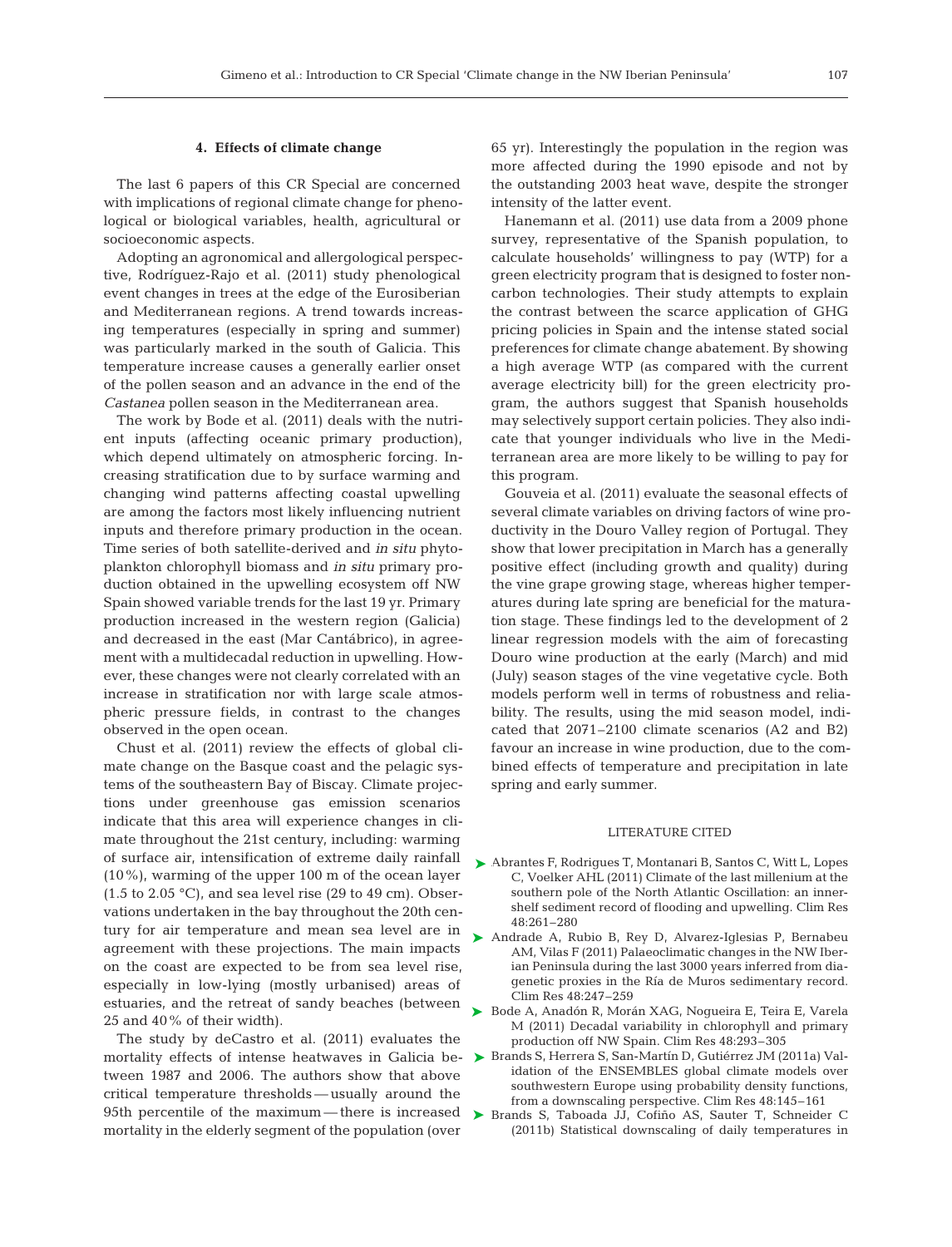#### **4. Effects of climate change**

The last 6 papers of this CR Special are concerned with implications of regional climate change for phenological or biological variables, health, agricultural or socioeconomic aspects.

Adopting an agronomical and allergological perspective, Rodríguez-Rajo et al. (2011) study phenological event changes in trees at the edge of the Eurosiberian and Mediterranean regions. A trend towards increasing temperatures (especially in spring and summer) was particularly marked in the south of Galicia. This temperature increase causes a generally earlier onset of the pollen season and an advance in the end of the *Castanea* pollen season in the Mediterranean area.

The work by Bode et al. (2011) deals with the nutrient inputs (affecting oceanic primary production), which depend ultimately on atmospheric forcing. Increasing stratification due to by surface warming and changing wind patterns affecting coastal upwelling are among the factors most likely influencing nutrient inputs and therefore primary production in the ocean. Time series of both satellite-derived and *in situ* phytoplankton chlorophyll biomass and *in situ* primary production obtained in the upwelling ecosystem off NW Spain showed variable trends for the last 19 yr. Primary production increased in the western region (Galicia) and decreased in the east (Mar Cantábrico), in agreement with a multidecadal reduction in upwelling. However, these changes were not clearly correlated with an increase in stratification nor with large scale atmospheric pressure fields, in contrast to the changes observed in the open ocean.

Chust et al. (2011) review the effects of global climate change on the Basque coast and the pelagic systems of the southeastern Bay of Biscay. Climate projections under greenhouse gas emission scenarios indicate that this area will experience changes in climate throughout the 21st century, including: warming of surface air, intensification of extreme daily rainfall (10%), warming of the upper 100 m of the ocean layer  $(1.5 \text{ to } 2.05 \text{ °C})$ , and sea level rise  $(29 \text{ to } 49 \text{ cm})$ . Observations undertaken in the bay throughout the 20th century for air temperature and mean sea level are in agreement with these projections. The main impacts on the coast are expected to be from sea level rise, especially in low-lying (mostly urbanised) areas of estuaries, and the retreat of sandy beaches (between 25 and 40% of their width).

The study by deCastro et al. (2011) evaluates the tween 1987 and 2006. The authors show that above critical temperature thresholds — usually around the 95th percentile of the maximum—there is increased  $\triangleright$  Brands S, Taboada JJ, Cofiño AS, Sauter T, Schneider C mortality in the elderly segment of the population (over

65 yr). Interestingly the population in the region was more affected during the 1990 episode and not by the outstanding 2003 heat wave, despite the stronger intensity of the latter event.

Hanemann et al. (2011) use data from a 2009 phone survey, representative of the Spanish population, to calculate households' willingness to pay (WTP) for a green electricity program that is designed to foster noncarbon technologies. Their study attempts to explain the contrast between the scarce application of GHG pricing policies in Spain and the intense stated social preferences for climate change abatement. By showing a high average WTP (as compared with the current average electricity bill) for the green electricity program, the authors suggest that Spanish households may selectively support certain policies. They also indicate that younger individuals who live in the Mediterranean area are more likely to be willing to pay for this program.

Gouveia et al. (2011) evaluate the seasonal effects of several climate variables on driving factors of wine productivity in the Douro Valley region of Portugal. They show that lower precipitation in March has a generally positive effect (including growth and quality) during the vine grape growing stage, whereas higher temperatures during late spring are beneficial for the maturation stage. These findings led to the development of 2 linear regression models with the aim of forecasting Douro wine production at the early (March) and mid (July) season stages of the vine vegetative cycle. Both models perform well in terms of robustness and reliability. The results, using the mid season model, indicated that 2071–2100 climate scenarios (A2 and B2) favour an increase in wine production, due to the combined effects of temperature and precipitation in late spring and early summer.

#### LITERATURE CITED

- ▶ Abrantes F, Rodrigues T, Montanari B, Santos C, Witt L, Lopes C, Voelker AHL (2011) Climate of the last millenium at the southern pole of the North Atlantic Oscillation: an innershelf sediment record of flooding and upwelling. Clim Res 48:261–280
- ▶ Andrade A, Rubio B, Rey D, Alvarez-Iglesias P, Bernabeu AM, Vilas F (2011) Palaeoclimatic changes in the NW Iberian Peninsula during the last 3000 years inferred from diagenetic proxies in the Ría de Muros sedimentary record. Clim Res 48:247–259
- ▶ Bode A, Anadón R, Morán XAG, Nogueira E, Teira E, Varela M (2011) Decadal variability in chlorophyll and primary production off NW Spain. Clim Res 48:293–305
- mortality effects of intense heatwaves in Galicia be- ▶ Brands S, Herrera S, San-Martín D, Gutiérrez JM (2011a) Validation of the ENSEMBLES global climate models over southwestern Europe using probability density functions, from a downscaling perspective. Clim Res 48:145–161
	- (2011b) Statistical downscaling of daily temperatures in